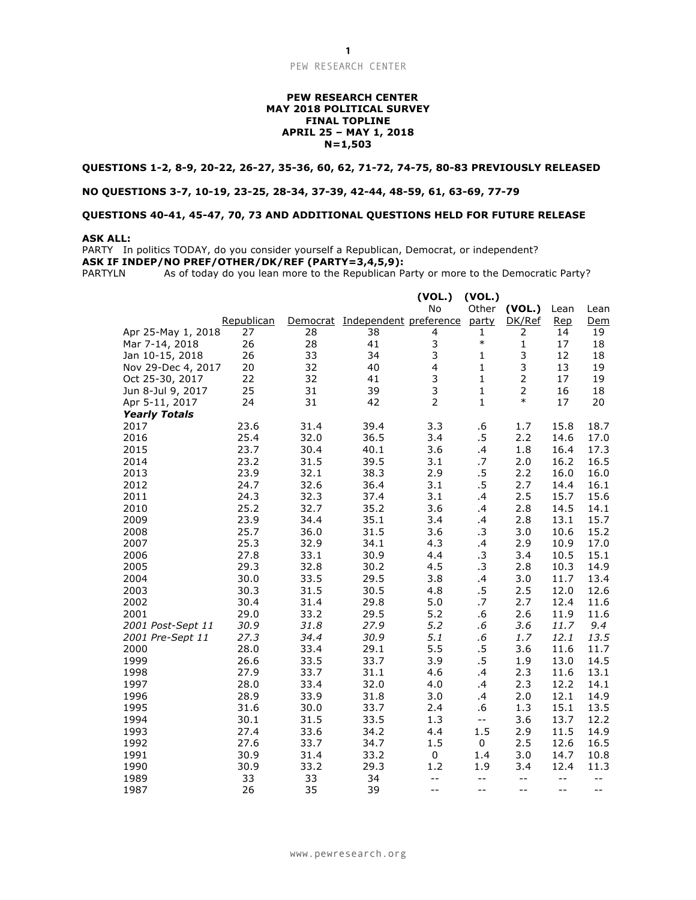#### PEW RESEARCH CENTER

#### **PEW RESEARCH CENTER MAY 2018 POLITICAL SURVEY FINAL TOPLINE APRIL 25 – MAY 1, 2018 N=1,503**

### **QUESTIONS 1-2, 8-9, 20-22, 26-27, 35-36, 60, 62, 71-72, 74-75, 80-83 PREVIOUSLY RELEASED**

#### **NO QUESTIONS 3-7, 10-19, 23-25, 28-34, 37-39, 42-44, 48-59, 61, 63-69, 77-79**

### **QUESTIONS 40-41, 45-47, 70, 73 AND ADDITIONAL QUESTIONS HELD FOR FUTURE RELEASE**

#### **ASK ALL:**

PARTY In politics TODAY, do you consider yourself a Republican, Democrat, or independent? **ASK IF INDEP/NO PREF/OTHER/DK/REF (PARTY=3,4,5,9):**

PARTYLN As of today do you lean more to the Republican Party or more to the Democratic Party?

|                      |            |      |                                 | (VOL.)         | (VOL.)                                        |                |            |      |
|----------------------|------------|------|---------------------------------|----------------|-----------------------------------------------|----------------|------------|------|
|                      |            |      |                                 | <b>No</b>      | Other                                         | (VOL.)         | Lean       | Lean |
|                      | Republican |      | Democrat Independent preference |                | party                                         | DK/Ref         | <b>Rep</b> | Dem  |
| Apr 25-May 1, 2018   | 27         | 28   | 38                              | 4              | 1                                             | 2              | 14         | 19   |
| Mar 7-14, 2018       | 26         | 28   | 41                              | 3              | $\ast$                                        | 1              | 17         | 18   |
| Jan 10-15, 2018      | 26         | 33   | 34                              | 3              | $\mathbf{1}$                                  | 3              | 12         | 18   |
| Nov 29-Dec 4, 2017   | 20         | 32   | 40                              | 4              | $\mathbf{1}$                                  | 3              | 13         | 19   |
| Oct 25-30, 2017      | 22         | 32   | 41                              | 3              | $\mathbf{1}$                                  | $\mathbf 2$    | 17         | 19   |
| Jun 8-Jul 9, 2017    | 25         | 31   | 39                              | 3              | 1                                             | $\overline{2}$ | 16         | 18   |
| Apr 5-11, 2017       | 24         | 31   | 42                              | $\overline{2}$ | $\mathbf{1}$                                  | $\ast$         | 17         | 20   |
| <b>Yearly Totals</b> |            |      |                                 |                |                                               |                |            |      |
| 2017                 | 23.6       | 31.4 | 39.4                            | 3.3            | .6                                            | 1.7            | 15.8       | 18.7 |
| 2016                 | 25.4       | 32.0 | 36.5                            | 3.4            | .5                                            | 2.2            | 14.6       | 17.0 |
| 2015                 | 23.7       | 30.4 | 40.1                            | 3.6            | $\cdot$                                       | 1.8            | 16.4       | 17.3 |
| 2014                 | 23.2       | 31.5 | 39.5                            | 3.1            | .7                                            | 2.0            | 16.2       | 16.5 |
| 2013                 | 23.9       | 32.1 | 38.3                            | 2.9            | .5                                            | 2.2            | 16.0       | 16.0 |
| 2012                 | 24.7       | 32.6 | 36.4                            | 3.1            | .5                                            | 2.7            | 14.4       | 16.1 |
| 2011                 | 24.3       | 32.3 | 37.4                            | 3.1            | $\cdot$                                       | 2.5            | 15.7       | 15.6 |
| 2010                 | 25.2       | 32.7 | 35.2                            | 3.6            | .4                                            | 2.8            | 14.5       | 14.1 |
| 2009                 | 23.9       | 34.4 | 35.1                            | 3.4            | .4                                            | 2.8            | 13.1       | 15.7 |
| 2008                 | 25.7       | 36.0 | 31.5                            | 3.6            | .3                                            | 3.0            | 10.6       | 15.2 |
| 2007                 | 25.3       | 32.9 | 34.1                            | 4.3            | $\cdot$                                       | 2.9            | 10.9       | 17.0 |
| 2006                 | 27.8       | 33.1 | 30.9                            | 4.4            | .3                                            | 3.4            | 10.5       | 15.1 |
| 2005                 | 29.3       | 32.8 | 30.2                            | 4.5            | .3                                            | 2.8            | 10.3       | 14.9 |
| 2004                 | 30.0       | 33.5 | 29.5                            | 3.8            | .4                                            | 3.0            | 11.7       | 13.4 |
| 2003                 | 30.3       | 31.5 | 30.5                            | 4.8            | .5                                            | 2.5            | 12.0       | 12.6 |
| 2002                 | 30.4       | 31.4 | 29.8                            | 5.0            | .7                                            | 2.7            | 12.4       | 11.6 |
| 2001                 | 29.0       | 33.2 | 29.5                            | 5.2            | .6                                            | 2.6            | 11.9       | 11.6 |
| 2001 Post-Sept 11    | 30.9       | 31.8 | 27.9                            | 5.2            | .6                                            | 3.6            | 11.7       | 9.4  |
| 2001 Pre-Sept 11     | 27.3       | 34.4 | 30.9                            | 5.1            | .6                                            | 1.7            | 12.1       | 13.5 |
| 2000                 | 28.0       | 33.4 | 29.1                            | 5.5            | .5                                            | 3.6            | 11.6       | 11.7 |
| 1999                 | 26.6       | 33.5 | 33.7                            | 3.9            | .5                                            | 1.9            | 13.0       | 14.5 |
| 1998                 | 27.9       | 33.7 | 31.1                            | 4.6            | .4                                            | 2.3            | 11.6       | 13.1 |
| 1997                 | 28.0       | 33.4 | 32.0                            | 4.0            | $\cdot$                                       | 2.3            | 12.2       | 14.1 |
| 1996                 | 28.9       | 33.9 | 31.8                            | 3.0            | .4                                            | 2.0            | 12.1       | 14.9 |
| 1995                 | 31.6       | 30.0 | 33.7                            | 2.4            | .6                                            | 1.3            | 15.1       | 13.5 |
| 1994                 | 30.1       | 31.5 | 33.5                            | 1.3            | $\mathord{\hspace{1pt}\text{--}\hspace{1pt}}$ | 3.6            | 13.7       | 12.2 |
| 1993                 | 27.4       | 33.6 | 34.2                            | 4.4            | 1.5                                           | 2.9            | 11.5       | 14.9 |
| 1992                 | 27.6       | 33.7 | 34.7                            | 1.5            | 0                                             | 2.5            | 12.6       | 16.5 |
| 1991                 | 30.9       | 31.4 | 33.2                            | $\pmb{0}$      | 1.4                                           | 3.0            | 14.7       | 10.8 |
| 1990                 | 30.9       | 33.2 | 29.3                            | 1.2            | 1.9                                           | 3.4            | 12.4       | 11.3 |
| 1989                 | 33         | 33   | 34                              | $ -$           | $- -$                                         | $- -$          | $- -$      | $-$  |
| 1987                 | 26         | 35   | 39                              | $ -$           | $-$                                           | $- -$          | --         | $-$  |